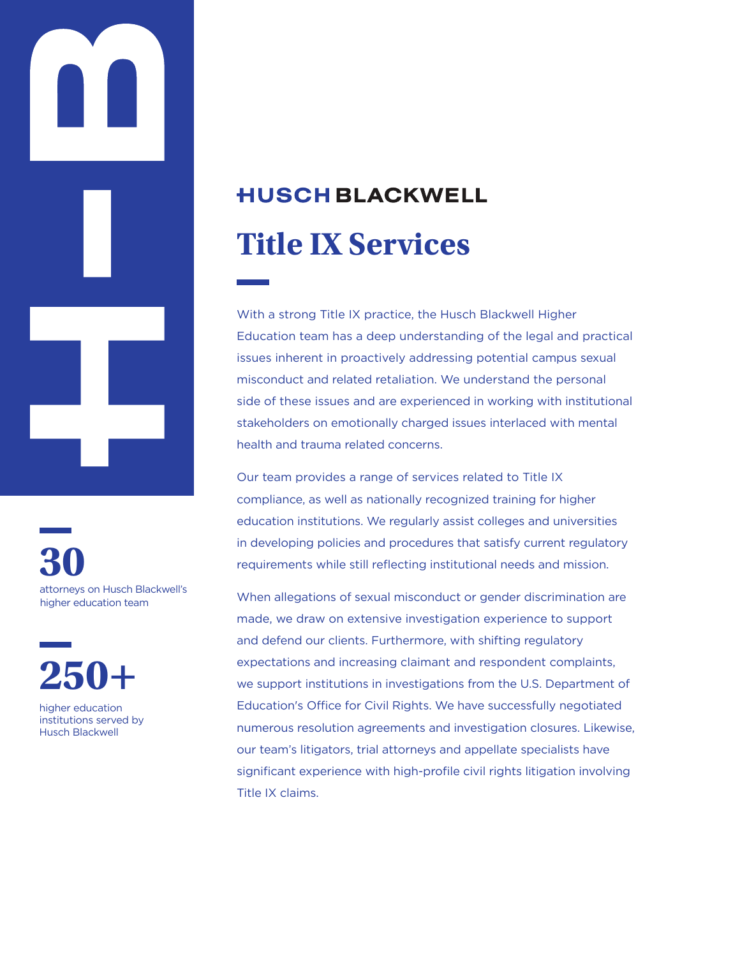

**30** attorneys on Husch Blackwell's higher education team



institutions served by Husch Blackwell

# **HUSCH BLACKWELL Title IX Services**

With a strong Title IX practice, the Husch Blackwell Higher Education team has a deep understanding of the legal and practical issues inherent in proactively addressing potential campus sexual misconduct and related retaliation. We understand the personal side of these issues and are experienced in working with institutional stakeholders on emotionally charged issues interlaced with mental health and trauma related concerns.

Our team provides a range of services related to Title IX compliance, as well as nationally recognized training for higher education institutions. We regularly assist colleges and universities in developing policies and procedures that satisfy current regulatory requirements while still reflecting institutional needs and mission.

When allegations of sexual misconduct or gender discrimination are made, we draw on extensive investigation experience to support and defend our clients. Furthermore, with shifting regulatory expectations and increasing claimant and respondent complaints, we support institutions in investigations from the U.S. Department of Education's Office for Civil Rights. We have successfully negotiated numerous resolution agreements and investigation closures. Likewise, our team's litigators, trial attorneys and appellate specialists have significant experience with high-profile civil rights litigation involving Title IX claims.